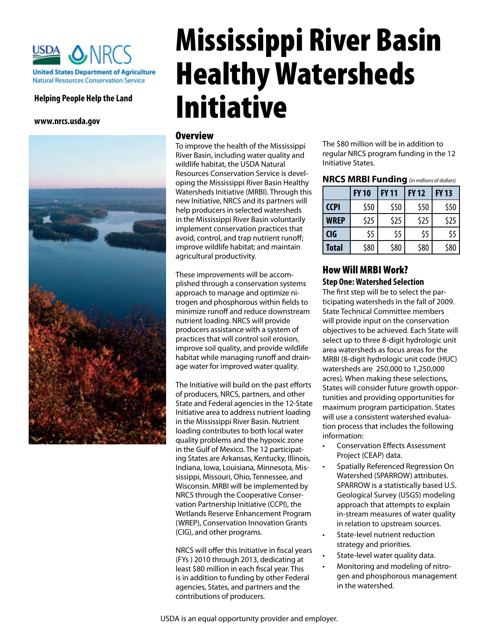

#### **Helping People Help the Land**

**www.nrcs.usda.gov**



# Mississippi River Basin Healthy Watersheds Initiative

#### Overview

To improve the health of the Mississippi River Basin, including water quality and wildlife habitat, the USDA Natural Resources Conservation Service is developing the Mississippi River Basin Healthy Watersheds Initiative (MRBI). Through this new Initiative, NRCS and its partners will help producers in selected watersheds in the Mississippi River Basin voluntarily implement conservation practices that avoid, control, and trap nutrient runoff; improve wildlife habitat; and maintain agricultural productivity.

These improvements will be accomplished through a conservation systems approach to manage and optimize nitrogen and phosphorous within fields to minimize runoff and reduce downstream nutrient loading. NRCS will provide producers assistance with a system of practices that will control soil erosion, improve soil quality, and provide wildlife habitat while managing runoff and drainage water for improved water quality.

The Initiative will build on the past efforts of producers, NRCS, partners, and other State and Federal agencies in the 12-State Initiative area to address nutrient loading in the Mississippi River Basin. Nutrient loading contributes to both local water quality problems and the hypoxic zone in the Gulf of Mexico. The 12 participating States are Arkansas, Kentucky, Illinois, Indiana, Iowa, Louisiana, Minnesota, Mississippi, Missouri, Ohio, Tennessee, and Wisconsin. MRBI will be implemented by NRCS through the Cooperative Conservation Partnership Initiative (CCPI), the Wetlands Reserve Enhancement Program (WREP), Conservation Innovation Grants (CIG), and other programs.

NRCS will offer this Initiative in fiscal years (FYs ) 2010 through 2013, dedicating at least \$80 million in each fiscal year. This is in addition to funding by other Federal agencies, States, and partners and the contributions of producers.

The \$80 million will be in addition to regular NRCS program funding in the 12 Initiative States.

#### **NRCS MRBI Funding** *(in millions of dollars)*

|              | <b>FY 10</b> | <b>FY11</b> | <b>FY 12</b> | <b>FY13</b> |
|--------------|--------------|-------------|--------------|-------------|
| <b>CCPI</b>  | \$50         | \$50        | \$50         | \$50        |
| WREP         | \$25         | \$25        | \$25         | \$25        |
| <b>CIG</b>   | \$5          | \$5         | \$5          | \$5         |
| <b>Total</b> | \$80         | \$80        | \$80         | \$80        |

## How Will MRBI Work? **Step One: Watershed Selection**

The first step will be to select the participating watersheds in the fall of 2009. State Technical Committee members will provide input on the conservation objectives to be achieved. Each State will select up to three 8-digit hydrologic unit area watersheds as focus areas for the MRBI (8-digit hydrologic unit code (HUC) watersheds are 250,000 to 1,250,000 acres). When making these selections, States will consider future growth opportunities and providing opportunities for maximum program participation. States will use a consistent watershed evaluation process that includes the following information:

- Conservation Effects Assessment Project (CEAP) data.
- Spatially Referenced Regression On Watershed (SPARROW) attributes. SPARROW is a statistically based U.S. Geological Survey (USGS) modeling approach that attempts to explain in-stream measures of water quality in relation to upstream sources.
- State-level nutrient reduction strategy and priorities.
- State-level water quality data.
- Monitoring and modeling of nitrogen and phosphorous management in the watershed.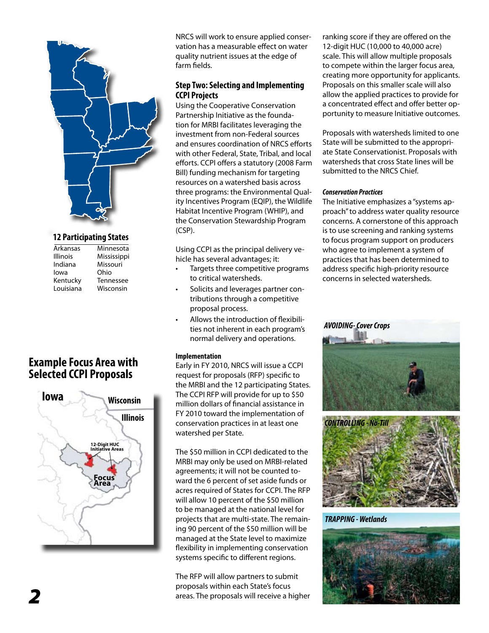

#### **12 Participating States**

| Arkansas        | Minnesota        |
|-----------------|------------------|
| <b>Illinois</b> | Mississippi      |
| Indiana         | Missouri         |
| lowa            | Ohio             |
| Kentucky        | <b>Tennessee</b> |
| Louisiana       | Wisconsin        |
|                 |                  |

# **Example Focus Area with Selected CCPI Proposals**



NRCS will work to ensure applied conservation has a measurable effect on water quality nutrient issues at the edge of farm fields.

### **Step Two: Selecting and Implementing CCPI Projects**

Using the Cooperative Conservation Partnership Initiative as the foundation for MRBI facilitates leveraging the investment from non-Federal sources and ensures coordination of NRCS efforts with other Federal, State, Tribal, and local efforts. CCPI offers a statutory (2008 Farm Bill) funding mechanism for targeting resources on a watershed basis across three programs: the Environmental Quality Incentives Program (EQIP), the Wildlife Habitat Incentive Program (WHIP), and the Conservation Stewardship Program (CSP).

Using CCPI as the principal delivery vehicle has several advantages; it:

- Targets three competitive programs to critical watersheds.
- Solicits and leverages partner contributions through a competitive proposal process.
- Allows the introduction of flexibilities not inherent in each program's normal delivery and operations.

#### **Implementation**

Early in FY 2010, NRCS will issue a CCPI request for proposals (RFP) specific to the MRBI and the 12 participating States. The CCPI RFP will provide for up to \$50 million dollars of financial assistance in FY 2010 toward the implementation of conservation practices in at least one watershed per State.

The \$50 million in CCPI dedicated to the MRBI may only be used on MRBI-related agreements; it will not be counted toward the 6 percent of set aside funds or acres required of States for CCPI. The RFP will allow 10 percent of the \$50 million to be managed at the national level for projects that are multi-state. The remaining 90 percent of the \$50 million will be managed at the State level to maximize flexibility in implementing conservation systems specific to different regions.

The RFP will allow partners to submit proposals within each State's focus areas. The proposals will receive a higher ranking score if they are offered on the 12-digit HUC (10,000 to 40,000 acre) scale. This will allow multiple proposals to compete within the larger focus area, creating more opportunity for applicants. Proposals on this smaller scale will also allow the applied practices to provide for a concentrated effect and offer better opportunity to measure Initiative outcomes.

Proposals with watersheds limited to one State will be submitted to the appropriate State Conservationist. Proposals with watersheds that cross State lines will be submitted to the NRCS Chief.

#### *Conservation Practices*

The Initiative emphasizes a "systems approach" to address water quality resource concerns. A cornerstone of this approach is to use screening and ranking systems to focus program support on producers who agree to implement a system of practices that has been determined to address specific high-priority resource concerns in selected watersheds.





*TRAPPING - Wetlands*

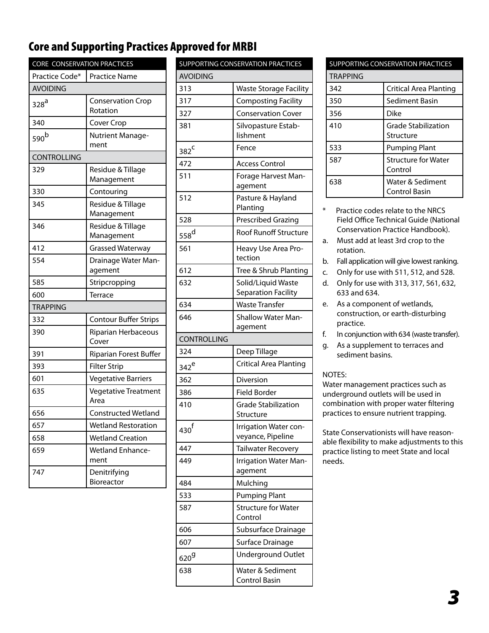# Core and Supporting Practices Approved for MRBI

| CORE CONSERVATION PRACTICES |                                      |  |
|-----------------------------|--------------------------------------|--|
| Practice Code*              | <b>Practice Name</b>                 |  |
| <b>AVOIDING</b>             |                                      |  |
| $328^{\overline{a}}$        | <b>Conservation Crop</b><br>Rotation |  |
| 340                         | Cover Crop                           |  |
| 590 <sup>b</sup>            | Nutrient Manage-<br>ment             |  |
| <b>CONTROLLING</b>          |                                      |  |
| 329                         | Residue & Tillage<br>Management      |  |
| 330                         | Contouring                           |  |
| 345                         | Residue & Tillage<br>Management      |  |
| 346                         | Residue & Tillage<br>Management      |  |
| 412                         | <b>Grassed Waterway</b>              |  |
| 554                         | Drainage Water Man-<br>agement       |  |
| 585                         | Stripcropping                        |  |
| 600                         | Terrace                              |  |
| <b>TRAPPING</b>             |                                      |  |
| 332                         | <b>Contour Buffer Strips</b>         |  |
| 390                         | Riparian Herbaceous<br>Cover         |  |
| 391                         | Riparian Forest Buffer               |  |
| 393                         | <b>Filter Strip</b>                  |  |
| 601                         | <b>Vegetative Barriers</b>           |  |
| 635                         | Vegetative Treatment<br>Area         |  |
| 656                         | Constructed Wetland                  |  |
| 657                         | <b>Wetland Restoration</b>           |  |
| 658                         | <b>Wetland Creation</b>              |  |
| 659                         | <b>Wetland Enhance-</b><br>ment      |  |
| 747                         | Denitrifying<br>Bioreactor           |  |

| SUPPORTING CONSERVATION PRACTICES |                                         |  |  |  |
|-----------------------------------|-----------------------------------------|--|--|--|
| <b>AVOIDING</b>                   |                                         |  |  |  |
| 313                               | <b>Waste Storage Facility</b>           |  |  |  |
| 317                               | <b>Composting Facility</b>              |  |  |  |
| 327                               | <b>Conservation Cover</b>               |  |  |  |
| 381                               | Silvopasture Estab-                     |  |  |  |
|                                   | lishment                                |  |  |  |
| 382 <sup>C</sup>                  | Fence                                   |  |  |  |
| 472                               | <b>Access Control</b>                   |  |  |  |
| 511                               | Forage Harvest Man-<br>agement          |  |  |  |
| 512                               | Pasture & Hayland<br>Planting           |  |  |  |
| 528                               | Prescribed Grazing                      |  |  |  |
| $558^d$                           | <b>Roof Runoff Structure</b>            |  |  |  |
| 561                               | Heavy Use Area Pro-<br>tection          |  |  |  |
| 612                               | Tree & Shrub Planting                   |  |  |  |
| 632                               | Solid/Liquid Waste                      |  |  |  |
|                                   | Separation Facility                     |  |  |  |
| 634                               | <b>Waste Transfer</b>                   |  |  |  |
| 646                               | <b>Shallow Water Man-</b><br>agement    |  |  |  |
| <b>CONTROLLING</b>                |                                         |  |  |  |
| 324                               | Deep Tillage                            |  |  |  |
| $342^e$                           | <b>Critical Area Planting</b>           |  |  |  |
| 362                               | Diversion                               |  |  |  |
| 386                               | <b>Field Border</b>                     |  |  |  |
| 410                               | <b>Grade Stabilization</b><br>Structure |  |  |  |
| 430 <sup>f</sup>                  | Irrigation Water con-                   |  |  |  |
|                                   | veyance, Pipeline                       |  |  |  |
| 447                               | Tailwater Recovery                      |  |  |  |
| 449                               | Irrigation Water Man-<br>agement        |  |  |  |
| 484                               | Mulching                                |  |  |  |
| 533                               | <b>Pumping Plant</b>                    |  |  |  |
| 587                               | <b>Structure for Water</b><br>Control   |  |  |  |
| 606                               | Subsurface Drainage                     |  |  |  |
| 607                               | Surface Drainage                        |  |  |  |
| 620 $9$                           | <b>Underground Outlet</b>               |  |  |  |
| 638                               | Water & Sediment<br>Control Basin       |  |  |  |

| <b>SUPPORTING CONSERVATION PRACTICES</b> |                                          |  |
|------------------------------------------|------------------------------------------|--|
| <b>TRAPPING</b>                          |                                          |  |
| 342                                      | Critical Area Planting                   |  |
| 350                                      | Sediment Basin                           |  |
| 356                                      | Dike                                     |  |
| 410                                      | <b>Grade Stabilization</b><br>Structure  |  |
| 533                                      | <b>Pumping Plant</b>                     |  |
| 587                                      | <b>Structure for Water</b><br>Control    |  |
| 638                                      | Water & Sediment<br><b>Control Basin</b> |  |

\* Practice codes relate to the NRCS Field Office Technical Guide (National Conservation Practice Handbook).

a. Must add at least 3rd crop to the rotation.

- b. Fall application will give lowest ranking.
- c. Only for use with 511, 512, and 528.
- d. Only for use with 313, 317, 561, 632, 633 and 634.
- e. As a component of wetlands, construction, or earth-disturbing practice.
- f. In conjunction with 634 (waste transfer).
- g. As a supplement to terraces and sediment basins.

#### NOTES:

Water management practices such as underground outlets will be used in combination with proper water filtering practices to ensure nutrient trapping.

State Conservationists will have reasonable flexibility to make adjustments to this practice listing to meet State and local needs.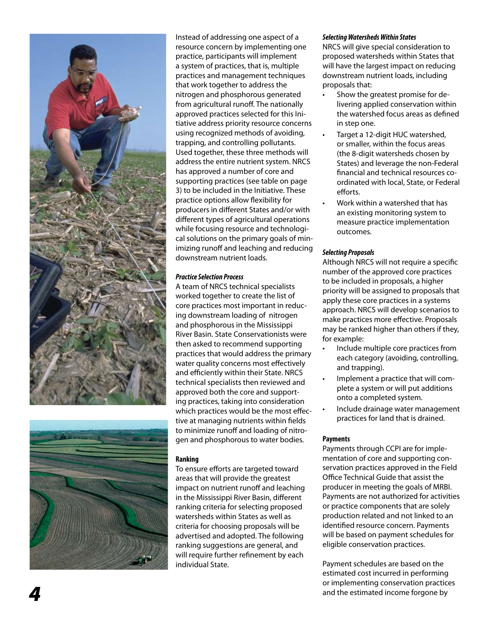



Instead of addressing one aspect of a resource concern by implementing one practice, participants will implement a system of practices, that is, multiple practices and management techniques that work together to address the nitrogen and phosphorous generated from agricultural runoff. The nationally approved practices selected for this Ini tiative address priority resource concerns using recognized methods of avoiding, trapping, and controlling pollutants. Used together, these three methods will address the entire nutrient system. NRCS has approved a number of core and supporting practices (see table on page 3) to be included in the Initiative. These practice options allow flexibility for producers in different States and/or with different types of agricultural operations while focusing resource and technologi cal solutions on the primary goals of min imizing runoff and leaching and reducing downstream nutrient loads.

#### *Practice Selection Process*

A team of NRCS technical specialists worked together to create the list of core practices most important in reduc ing downstream loading of nitrogen and phosphorous in the Mississippi River Basin. State Conservationists were then asked to recommend supporting practices that would address the primary water quality concerns most effectively and efficiently within their State. NRCS technical specialists then reviewed and approved both the core and support ing practices, taking into consideration which practices would be the most effec tive at managing nutrients within fields to minimize runoff and loading of nitro gen and phosphorous to water bodies.

#### **Ranking**

To ensure efforts are targeted toward areas that will provide the greatest impact on nutrient runoff and leaching in the Mississippi River Basin, different ranking criteria for selecting proposed watersheds within States as well as criteria for choosing proposals will be advertised and adopted. The following ranking suggestions are general, and will require further refinement by each individual State.

#### *Selecting Watersheds Within States*

NRCS will give special consideration to proposed watersheds within States that will have the largest impact on reducing downstream nutrient loads, including proposals that:

- Show the greatest promise for delivering applied conservation within the watershed focus areas as defined in step one.
- Target a 12-digit HUC watershed, or smaller, within the focus areas (the 8-digit watersheds chosen by States) and leverage the non-Federal financial and technical resources co ordinated with local, State, or Federal efforts.
- Work within a watershed that has an existing monitoring system to measure practice implementation outcomes.

#### *Selecting Proposals*

Although NRCS will not require a specific number of the approved core practices to be included in proposals, a higher priority will be assigned to proposals that apply these core practices in a systems approach. NRCS will develop scenarios to make practices more effective. Proposals may be ranked higher than others if they, for example:

- Include multiple core practices from each category (avoiding, controlling, and trapping).
- Implement a practice that will complete a system or will put additions onto a completed system.
- Include drainage water management practices for land that is drained.

#### **Payments**

Payments through CCPI are for imple mentation of core and supporting con servation practices approved in the Field Office Technical Guide that assist the producer in meeting the goals of MRBI. Payments are not authorized for activities or practice components that are solely production related and not linked to an identified resource concern. Payments will be based on payment schedules for eligible conservation practices.

Payment schedules are based on the estimated cost incurred in performing or implementing conservation practices and the estimated income forgone by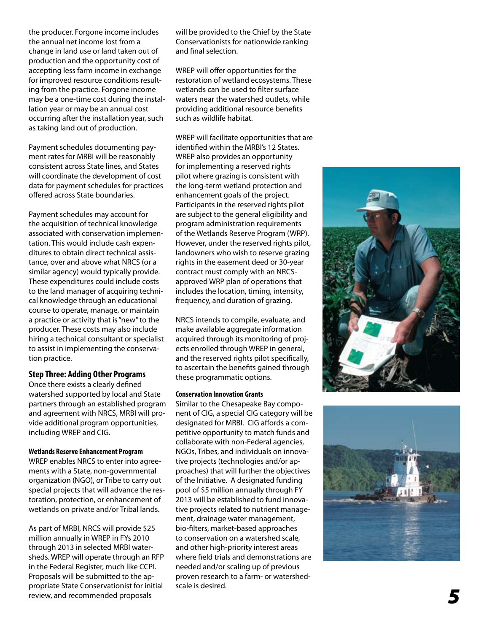the producer. Forgone income includes the annual net income lost from a change in land use or land taken out of production and the opportunity cost of accepting less farm income in exchange for improved resource conditions result ing from the practice. Forgone income may be a one-time cost during the instal lation year or may be an annual cost occurring after the installation year, such as taking land out of production.

Payment schedules documenting pay ment rates for MRBI will be reasonably consistent across State lines, and States will coordinate the development of cost data for payment schedules for practices offered across State boundaries.

Payment schedules may account for the acquisition of technical knowledge associated with conservation implemen tation. This would include cash expen ditures to obtain direct technical assis tance, over and above what NRCS (or a similar agency) would typically provide. These expenditures could include costs to the land manager of acquiring techni cal knowledge through an educational course to operate, manage, or maintain a practice or activity that is "new" to the producer. These costs may also include hiring a technical consultant or specialist to assist in implementing the conserva tion practice.

#### **Step Three: Adding Other Programs**

Once there exists a clearly defined watershed supported by local and State partners through an established program and agreement with NRCS, MRBI will pro vide additional program opportunities, including WREP and CIG.

#### **Wetlands Reserve Enhancement Program**

WREP enables NRCS to enter into agree ments with a State, non-governmental organization (NGO), or Tribe to carry out special projects that will advance the res toration, protection, or enhancement of wetlands on private and/or Tribal lands.

As part of MRBI, NRCS will provide \$25 million annually in WREP in FYs 2010 through 2013 in selected MRBI water sheds. WREP will operate through an RFP in the Federal Register, much like CCPI. Proposals will be submitted to the ap propriate State Conservationist for initial review, and recommended proposals

will be provided to the Chief by the State Conservationists for nationwide ranking and final selection.

WREP will offer opportunities for the restoration of wetland ecosystems. These wetlands can be used to filter surface waters near the watershed outlets, while providing additional resource benefits such as wildlife habitat.

WREP will facilitate opportunities that are identified within the MRBI's 12 States. WREP also provides an opportunity for implementing a reserved rights pilot where grazing is consistent with the long-term wetland protection and enhancement goals of the project. Participants in the reserved rights pilot are subject to the general eligibility and program administration requirements of the Wetlands Reserve Program (WRP). However, under the reserved rights pilot, landowners who wish to reserve grazing rights in the easement deed or 30-year contract must comply with an NRCSapproved WRP plan of operations that includes the location, timing, intensity, frequency, and duration of grazing.

NRCS intends to compile, evaluate, and make available aggregate information acquired through its monitoring of proj ects enrolled through WREP in general, and the reserved rights pilot specifically, to ascertain the benefits gained through these programmatic options.

#### **Conservation Innovation Grants**

Similar to the Chesapeake Bay compo nent of CIG, a special CIG category will be designated for MRBI. CIG affords a com petitive opportunity to match funds and collaborate with non-Federal agencies, NGOs, Tribes, and individuals on innova tive projects (technologies and/or ap proaches) that will further the objectives of the Initiative. A designated funding pool of \$5 million annually through FY 2013 will be established to fund innova tive projects related to nutrient manage ment, drainage water management, bio-filters, market-based approaches to conservation on a watershed scale, and other high-priority interest areas where field trials and demonstrations are needed and/or scaling up of previous proven research to a farm- or watershedscale is desired.